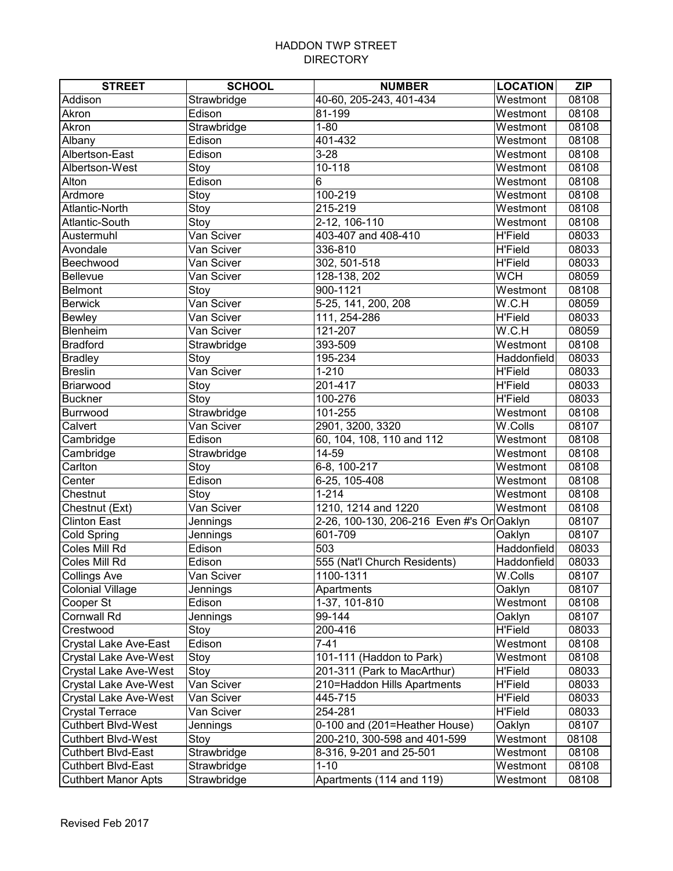| <b>STREET</b>                | <b>SCHOOL</b> | <b>NUMBER</b>                             | <b>LOCATION</b> | <b>ZIP</b> |
|------------------------------|---------------|-------------------------------------------|-----------------|------------|
| Addison                      | Strawbridge   | 40-60, 205-243, 401-434                   | Westmont        | 08108      |
| Akron                        | Edison        | 81-199                                    | Westmont        | 08108      |
| Akron                        | Strawbridge   | $1 - 80$                                  | Westmont        | 08108      |
| Albany                       | Edison        | 401-432                                   | Westmont        | 08108      |
| Albertson-East               | Edison        | $3 - 28$                                  | Westmont        | 08108      |
| Albertson-West               | Stoy          | $\overline{10} - 118$                     | Westmont        | 08108      |
| Alton                        | Edison        | 6                                         | Westmont        | 08108      |
| Ardmore                      | Stoy          | 100-219                                   | Westmont        | 08108      |
| Atlantic-North               | Stoy          | 215-219                                   | Westmont        | 08108      |
| Atlantic-South               | Stoy          | 2-12, 106-110                             | Westmont        | 08108      |
| Austermuhl                   | Van Sciver    | 403-407 and 408-410                       | <b>H'Field</b>  | 08033      |
| Avondale                     | Van Sciver    | 336-810                                   | <b>H'Field</b>  | 08033      |
| Beechwood                    | Van Sciver    | 302, 501-518                              | <b>H'Field</b>  | 08033      |
| Bellevue                     | Van Sciver    | 128-138, 202                              | <b>WCH</b>      | 08059      |
| <b>Belmont</b>               | Stoy          | 900-1121                                  | Westmont        | 08108      |
| <b>Berwick</b>               | Van Sciver    | 5-25, 141, 200, 208                       | W.C.H           | 08059      |
| <b>Bewley</b>                | Van Sciver    | 111, 254-286                              | <b>H'Field</b>  | 08033      |
| Blenheim                     | Van Sciver    | 121-207                                   | W.C.H           | 08059      |
| <b>Bradford</b>              | Strawbridge   | 393-509                                   | Westmont        | 08108      |
| <b>Bradley</b>               | Stoy          | 195-234                                   | Haddonfield     | 08033      |
| <b>Breslin</b>               | Van Sciver    | $1 - 210$                                 | <b>H'Field</b>  | 08033      |
| Briarwood                    | Stoy          | 201-417                                   | <b>H'Field</b>  | 08033      |
| <b>Buckner</b>               | Stoy          | 100-276                                   | <b>H'Field</b>  | 08033      |
| Burrwood                     | Strawbridge   | 101-255                                   | Westmont        | 08108      |
| Calvert                      | Van Sciver    | 2901, 3200, 3320                          | W.Colls         | 08107      |
| Cambridge                    | Edison        | 60, 104, 108, 110 and 112                 | Westmont        | 08108      |
| Cambridge                    | Strawbridge   | 14-59                                     | Westmont        | 08108      |
| Carlton                      | Stoy          | 6-8, 100-217                              | Westmont        | 08108      |
| Center                       | Edison        | 6-25, 105-408                             | Westmont        | 08108      |
| Chestnut                     | Stoy          | $1 - 214$                                 | Westmont        | 08108      |
| Chestnut (Ext)               | Van Sciver    | 1210, 1214 and 1220                       | Westmont        | 08108      |
| <b>Clinton East</b>          | Jennings      | 2-26, 100-130, 206-216 Even #'s Or Oaklyn |                 | 08107      |
| Cold Spring                  | Jennings      | 601-709                                   | Oaklyn          | 08107      |
| Coles Mill Rd                | Edison        | 503                                       | Haddonfield     | 08033      |
| Coles Mill Rd                | Edison        | 555 (Nat'l Church Residents)              | Haddonfield     | 08033      |
| Collings Ave                 | Van Sciver    | 1100-1311                                 | W.Colls         | 08107      |
| <b>Colonial Village</b>      | Jennings      | Apartments                                | Oaklyn          | 08107      |
| Cooper St                    | Edison        | 1-37, 101-810                             | Westmont        | 08108      |
| <b>Cornwall Rd</b>           | Jennings      | 99-144                                    | Oaklyn          | 08107      |
| Crestwood                    | Stoy          | 200-416                                   | <b>H'Field</b>  | 08033      |
| Crystal Lake Ave-East        | Edison        | $7 - 41$                                  | Westmont        | 08108      |
| Crystal Lake Ave-West        | Stoy          | 101-111 (Haddon to Park)                  | Westmont        | 08108      |
| <b>Crystal Lake Ave-West</b> | Stoy          | 201-311 (Park to MacArthur)               | <b>H'Field</b>  | 08033      |
| <b>Crystal Lake Ave-West</b> | Van Sciver    | 210=Haddon Hills Apartments               | <b>H'Field</b>  | 08033      |
| <b>Crystal Lake Ave-West</b> | Van Sciver    | 445-715                                   | <b>H'Field</b>  | 08033      |
| <b>Crystal Terrace</b>       | Van Sciver    | 254-281                                   | <b>H'Field</b>  | 08033      |
| <b>Cuthbert Blvd-West</b>    | Jennings      | 0-100 and (201=Heather House)             | Oaklyn          | 08107      |
| <b>Cuthbert Blvd-West</b>    | Stoy          | 200-210, 300-598 and 401-599              | Westmont        | 08108      |
| <b>Cuthbert Blvd-East</b>    | Strawbridge   | 8-316, 9-201 and 25-501                   | Westmont        | 08108      |
| <b>Cuthbert Blvd-East</b>    | Strawbridge   | $1 - 10$                                  | Westmont        | 08108      |
| <b>Cuthbert Manor Apts</b>   | Strawbridge   | Apartments (114 and 119)                  | Westmont        | 08108      |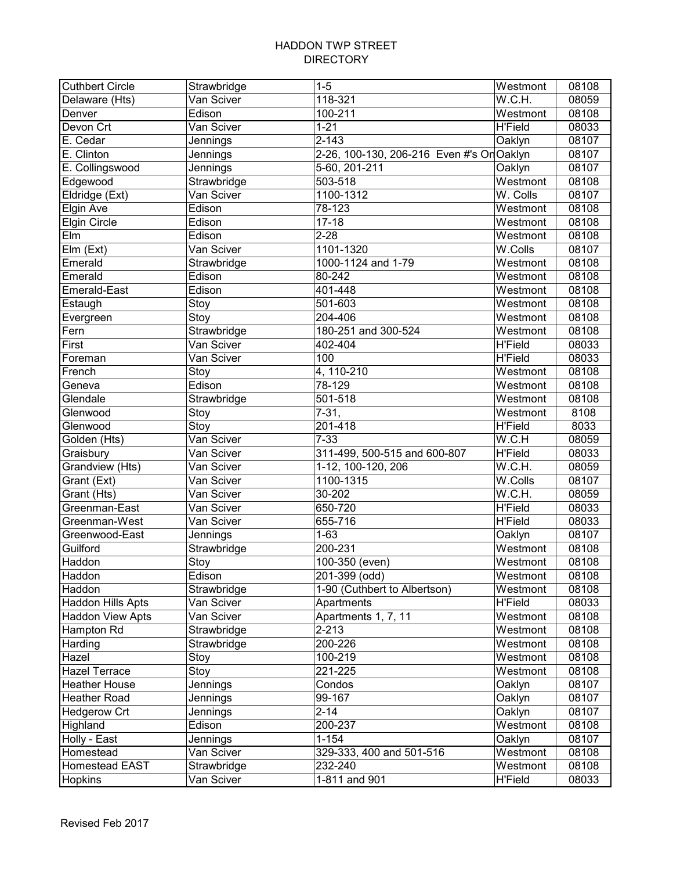| <b>Cuthbert Circle</b>   | Strawbridge | $1 - 5$                                   | Westmont       | 08108 |
|--------------------------|-------------|-------------------------------------------|----------------|-------|
| Delaware (Hts)           | Van Sciver  | 118-321                                   | W.C.H.         | 08059 |
| Denver                   | Edison      | 100-211                                   | Westmont       | 08108 |
| Devon Crt                | Van Sciver  | $1 - 21$                                  | <b>H'Field</b> | 08033 |
| $\overline{E}$ . Cedar   | Jennings    | $2 - 143$                                 | Oaklyn         | 08107 |
| $\overline{E}$ . Clinton | Jennings    | 2-26, 100-130, 206-216 Even #'s Or Oaklyn |                | 08107 |
| E. Collingswood          | Jennings    | 5-60, 201-211                             | Oaklyn         | 08107 |
| Edgewood                 | Strawbridge | 503-518                                   | Westmont       | 08108 |
| Eldridge (Ext)           | Van Sciver  | 1100-1312                                 | W. Colls       | 08107 |
| <b>Elgin Ave</b>         | Edison      | 78-123                                    | Westmont       | 08108 |
| <b>Elgin Circle</b>      | Edison      | $17 - 18$                                 | Westmont       | 08108 |
| Elm                      | Edison      | $2 - 28$                                  | Westmont       | 08108 |
| Elm (Ext)                | Van Sciver  | 1101-1320                                 | W.Colls        | 08107 |
| Emerald                  | Strawbridge | 1000-1124 and 1-79                        | Westmont       | 08108 |
| Emerald                  | Edison      | 80-242                                    | Westmont       | 08108 |
| Emerald-East             | Edison      | 401-448                                   | Westmont       | 08108 |
| Estaugh                  | Stoy        | 501-603                                   | Westmont       | 08108 |
| Evergreen                | Stoy        | 204-406                                   | Westmont       | 08108 |
| Fern                     | Strawbridge | 180-251 and 300-524                       | Westmont       | 08108 |
| First                    | Van Sciver  | 402-404                                   | <b>H'Field</b> | 08033 |
| Foreman                  | Van Sciver  | 100                                       | <b>H'Field</b> | 08033 |
| French                   | Stoy        | 4, 110-210                                | Westmont       | 08108 |
| Geneva                   | Edison      | 78-129                                    | Westmont       | 08108 |
| Glendale                 | Strawbridge | 501-518                                   | Westmont       | 08108 |
| Glenwood                 | Stoy        | $7 - 31,$                                 | Westmont       | 8108  |
| Glenwood                 | Stoy        | 201-418                                   | <b>H'Field</b> | 8033  |
| Golden (Hts)             | Van Sciver  | $\overline{7} - 33$                       | W.C.H          | 08059 |
| Graisbury                | Van Sciver  | 311-499, 500-515 and 600-807              | <b>H'Field</b> | 08033 |
| Grandview (Hts)          | Van Sciver  | 1-12, 100-120, 206                        | W.C.H.         | 08059 |
| Grant (Ext)              | Van Sciver  | 1100-1315                                 | W.Colls        | 08107 |
| Grant (Hts)              | Van Sciver  | 30-202                                    | W.C.H.         | 08059 |
| Greenman-East            | Van Sciver  | 650-720                                   | <b>H'Field</b> | 08033 |
| Greenman-West            | Van Sciver  | 655-716                                   | <b>H'Field</b> | 08033 |
| Greenwood-East           | Jennings    | $1 - 63$                                  | Oaklyn         | 08107 |
| Guilford                 | Strawbridge | 200-231                                   | Westmont       | 08108 |
| Haddon                   | Stoy        | 100-350 (even)                            | Westmont       | 08108 |
| Haddon                   | Edison      | 201-399 (odd)                             | Westmont       | 08108 |
| Haddon                   | Strawbridge | 1-90 (Cuthbert to Albertson)              | Westmont       | 08108 |
| Haddon Hills Apts        | Van Sciver  | Apartments                                | <b>H'Field</b> | 08033 |
| <b>Haddon View Apts</b>  | Van Sciver  | Apartments 1, 7, 11                       | Westmont       | 08108 |
| Hampton Rd               | Strawbridge | $2 - 213$                                 | Westmont       | 08108 |
| Harding                  | Strawbridge | $200 - 226$                               | Westmont       | 08108 |
| Hazel                    | Stoy        | 100-219                                   | Westmont       | 08108 |
| <b>Hazel Terrace</b>     | Stoy        | 221-225                                   | Westmont       | 08108 |
| <b>Heather House</b>     | Jennings    | Condos                                    | Oaklyn         | 08107 |
| <b>Heather Road</b>      | Jennings    | 99-167                                    | Oaklyn         | 08107 |
| <b>Hedgerow Crt</b>      | Jennings    | $2 - 14$                                  | Oaklyn         | 08107 |
| Highland                 | Edison      | 200-237                                   | Westmont       | 08108 |
| Holly - East             | Jennings    | $1 - 154$                                 | Oaklyn         | 08107 |
| Homestead                | Van Sciver  | 329-333, 400 and 501-516                  | Westmont       | 08108 |
| Homestead EAST           | Strawbridge | 232-240                                   | Westmont       | 08108 |
| Hopkins                  | Van Sciver  | 1-811 and 901                             | <b>H'Field</b> | 08033 |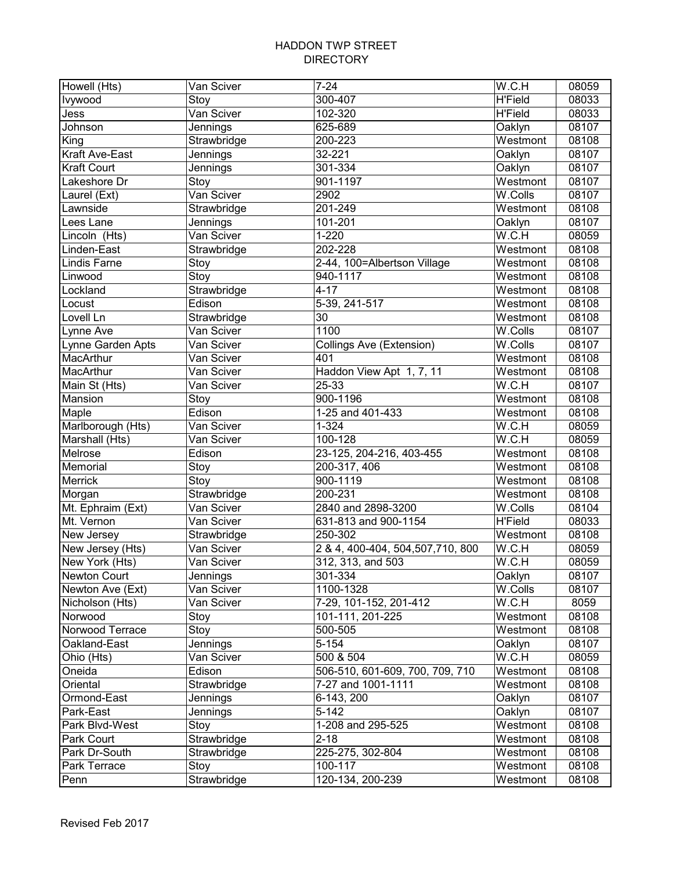| Howell (Hts)      | Van Sciver  | $\overline{7}$ -24                 | W.C.H                           | 08059 |
|-------------------|-------------|------------------------------------|---------------------------------|-------|
| <b>Ivywood</b>    | Stoy        | 300-407                            | <b>H'Field</b>                  | 08033 |
| Jess              | Van Sciver  | 102-320                            | $\overline{H}\overline{F}$ ield | 08033 |
| Johnson           | Jennings    | 625-689                            | Oaklyn                          | 08107 |
| King              | Strawbridge | 200-223                            | Westmont                        | 08108 |
| Kraft Ave-East    | Jennings    | 32-221                             | Oaklyn                          | 08107 |
| Kraft Court       | Jennings    | 301-334                            | Oaklyn                          | 08107 |
| Lakeshore Dr      | Stoy        | 901-1197                           | Westmont                        | 08107 |
| Laurel (Ext)      | Van Sciver  | 2902                               | W.Colls                         | 08107 |
| Lawnside          | Strawbridge | 201-249                            | Westmont                        | 08108 |
| Lees Lane         | Jennings    | 101-201                            | Oaklyn                          | 08107 |
| Lincoln (Hts)     | Van Sciver  | $1 - 220$                          | W.C.H                           | 08059 |
| Linden-East       | Strawbridge | 202-228                            | Westmont                        | 08108 |
| Lindis Farne      | Stoy        | 2-44, 100=Albertson Village        | Westmont                        | 08108 |
| Linwood           | Stoy        | 940-1117                           | Westmont                        | 08108 |
| Lockland          | Strawbridge | $4 - 17$                           | Westmont                        | 08108 |
| Locust            | Edison      | 5-39, 241-517                      | Westmont                        | 08108 |
| Lovell Ln         | Strawbridge | 30                                 | Westmont                        | 08108 |
| Lynne Ave         | Van Sciver  | 1100                               | W.Colls                         | 08107 |
| Lynne Garden Apts | Van Sciver  | <b>Collings Ave (Extension)</b>    | W.Colls                         | 08107 |
| MacArthur         | Van Sciver  | 401                                | Westmont                        | 08108 |
| MacArthur         | Van Sciver  | Haddon View Apt 1, 7, 11           | Westmont                        | 08108 |
| Main St (Hts)     | Van Sciver  | 25-33                              | W.C.H                           | 08107 |
| Mansion           | Stoy        | 900-1196                           | Westmont                        | 08108 |
| Maple             | Edison      | 1-25 and 401-433                   | Westmont                        | 08108 |
| Marlborough (Hts) | Van Sciver  | $1 - 324$                          | W.C.H                           | 08059 |
| Marshall (Hts)    | Van Sciver  | 100-128                            | W.C.H                           | 08059 |
| Melrose           | Edison      | 23-125, 204-216, 403-455           | Westmont                        | 08108 |
| Memorial          | Stoy        | 200-317, 406                       | Westmont                        | 08108 |
| Merrick           | Stoy        | 900-1119                           | Westmont                        | 08108 |
| Morgan            | Strawbridge | 200-231                            | Westmont                        | 08108 |
| Mt. Ephraim (Ext) | Van Sciver  | 2840 and 2898-3200                 | W.Colls                         | 08104 |
| Mt. Vernon        | Van Sciver  | 631-813 and 900-1154               | <b>H'Field</b>                  | 08033 |
| New Jersey        | Strawbridge | 250-302                            | Westmont                        | 08108 |
| New Jersey (Hts)  | Van Sciver  | 2 & 4, 400-404, 504, 507, 710, 800 | W.C.H                           | 08059 |
| New York (Hts)    | Van Sciver  | 312, 313, and 503                  | W.C.H                           | 08059 |
| Newton Court      | Jennings    | 301-334                            | Oaklyn                          | 08107 |
| Newton Ave (Ext)  | Van Sciver  | 1100-1328                          | $\overline{W}$ .Colls           | 08107 |
| Nicholson (Hts)   | Van Sciver  | 7-29, 101-152, 201-412             | W.C.H                           | 8059  |
| Norwood           | Stoy        | 101-111, 201-225                   | Westmont                        | 08108 |
| Norwood Terrace   | Stoy        | 500-505                            | Westmont                        | 08108 |
| Oakland-East      | Jennings    | $5 - 154$                          | Oaklyn                          | 08107 |
| Ohio (Hts)        | Van Sciver  | 500 & 504                          | W.C.H                           | 08059 |
| Oneida            | Edison      | 506-510, 601-609, 700, 709, 710    | Westmont                        | 08108 |
| Oriental          | Strawbridge | 7-27 and 1001-1111                 | Westmont                        | 08108 |
| Ormond-East       | Jennings    | 6-143, 200                         | Oaklyn                          | 08107 |
| Park-East         | Jennings    | $5 - 142$                          | Oaklyn                          | 08107 |
| Park Blvd-West    | Stoy        | 1-208 and 295-525                  | Westmont                        | 08108 |
| <b>Park Court</b> | Strawbridge | $2 - 18$                           | Westmont                        | 08108 |
| Park Dr-South     | Strawbridge | 225-275, 302-804                   | Westmont                        | 08108 |
| Park Terrace      | Stoy        | 100-117                            | Westmont                        | 08108 |
| Penn              | Strawbridge | 120-134, 200-239                   | Westmont                        | 08108 |